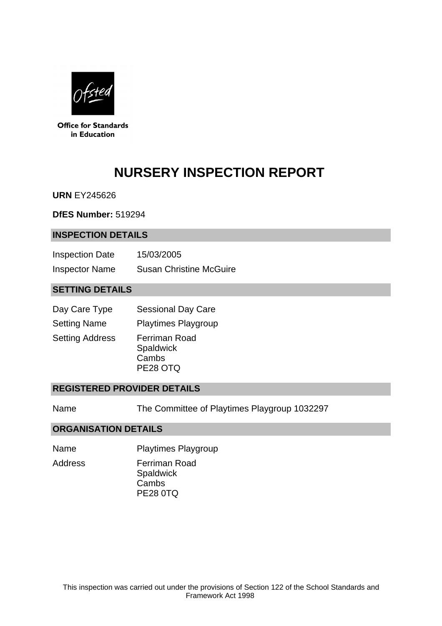

**Office for Standards** in Education

# **NURSERY INSPECTION REPORT**

**URN** EY245626

**DfES Number:** 519294

### **INSPECTION DETAILS**

| <b>Inspection Date</b> | 15/03/2005                     |
|------------------------|--------------------------------|
| <b>Inspector Name</b>  | <b>Susan Christine McGuire</b> |

## **SETTING DETAILS**

| Day Care Type          | <b>Sessional Day Care</b>                                     |
|------------------------|---------------------------------------------------------------|
| <b>Setting Name</b>    | <b>Playtimes Playgroup</b>                                    |
| <b>Setting Address</b> | <b>Ferriman Road</b><br><b>Spaldwick</b><br>Cambs<br>PE28 OTQ |

## **REGISTERED PROVIDER DETAILS**

Name The Committee of Playtimes Playgroup 1032297

#### **ORGANISATION DETAILS**

- Name Playtimes Playgroup
- 

Address Ferriman Road

**Spaldwick** Cambs PE28 0TQ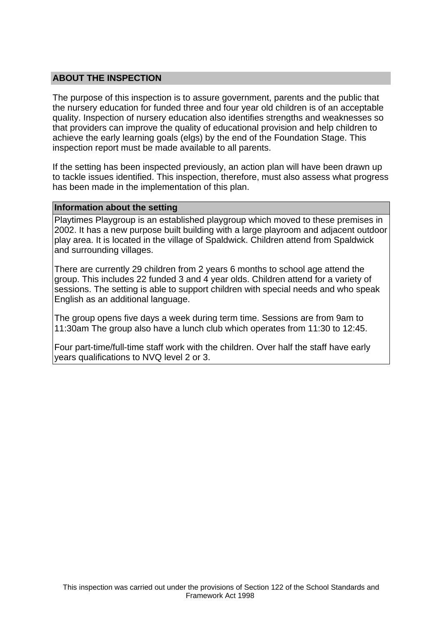## **ABOUT THE INSPECTION**

The purpose of this inspection is to assure government, parents and the public that the nursery education for funded three and four year old children is of an acceptable quality. Inspection of nursery education also identifies strengths and weaknesses so that providers can improve the quality of educational provision and help children to achieve the early learning goals (elgs) by the end of the Foundation Stage. This inspection report must be made available to all parents.

If the setting has been inspected previously, an action plan will have been drawn up to tackle issues identified. This inspection, therefore, must also assess what progress has been made in the implementation of this plan.

#### **Information about the setting**

Playtimes Playgroup is an established playgroup which moved to these premises in 2002. It has a new purpose built building with a large playroom and adjacent outdoor play area. It is located in the village of Spaldwick. Children attend from Spaldwick and surrounding villages.

There are currently 29 children from 2 years 6 months to school age attend the group. This includes 22 funded 3 and 4 year olds. Children attend for a variety of sessions. The setting is able to support children with special needs and who speak English as an additional language.

The group opens five days a week during term time. Sessions are from 9am to 11:30am The group also have a lunch club which operates from 11:30 to 12:45.

Four part-time/full-time staff work with the children. Over half the staff have early years qualifications to NVQ level 2 or 3.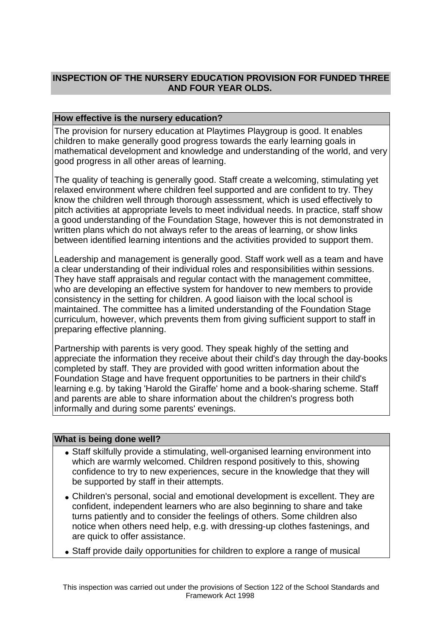# **INSPECTION OF THE NURSERY EDUCATION PROVISION FOR FUNDED THREE AND FOUR YEAR OLDS.**

## **How effective is the nursery education?**

The provision for nursery education at Playtimes Playgroup is good. It enables children to make generally good progress towards the early learning goals in mathematical development and knowledge and understanding of the world, and very good progress in all other areas of learning.

The quality of teaching is generally good. Staff create a welcoming, stimulating yet relaxed environment where children feel supported and are confident to try. They know the children well through thorough assessment, which is used effectively to pitch activities at appropriate levels to meet individual needs. In practice, staff show a good understanding of the Foundation Stage, however this is not demonstrated in written plans which do not always refer to the areas of learning, or show links between identified learning intentions and the activities provided to support them.

Leadership and management is generally good. Staff work well as a team and have a clear understanding of their individual roles and responsibilities within sessions. They have staff appraisals and regular contact with the management committee, who are developing an effective system for handover to new members to provide consistency in the setting for children. A good liaison with the local school is maintained. The committee has a limited understanding of the Foundation Stage curriculum, however, which prevents them from giving sufficient support to staff in preparing effective planning.

Partnership with parents is very good. They speak highly of the setting and appreciate the information they receive about their child's day through the day-books completed by staff. They are provided with good written information about the Foundation Stage and have frequent opportunities to be partners in their child's learning e.g. by taking 'Harold the Giraffe' home and a book-sharing scheme. Staff and parents are able to share information about the children's progress both informally and during some parents' evenings.

## **What is being done well?**

- Staff skilfully provide a stimulating, well-organised learning environment into which are warmly welcomed. Children respond positively to this, showing confidence to try to new experiences, secure in the knowledge that they will be supported by staff in their attempts.
- Children's personal, social and emotional development is excellent. They are confident, independent learners who are also beginning to share and take turns patiently and to consider the feelings of others. Some children also notice when others need help, e.g. with dressing-up clothes fastenings, and are quick to offer assistance.
- Staff provide daily opportunities for children to explore a range of musical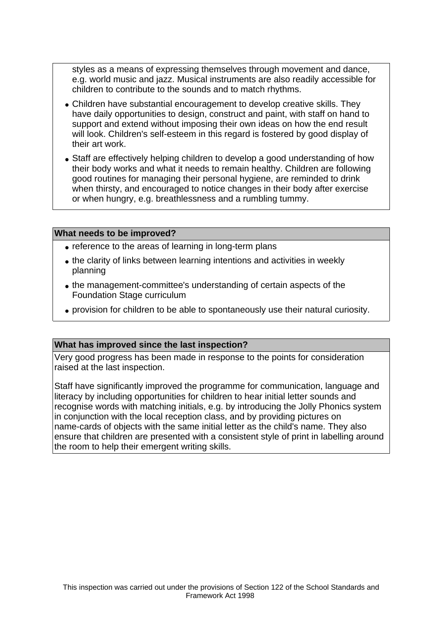styles as a means of expressing themselves through movement and dance, e.g. world music and jazz. Musical instruments are also readily accessible for children to contribute to the sounds and to match rhythms.

- Children have substantial encouragement to develop creative skills. They have daily opportunities to design, construct and paint, with staff on hand to support and extend without imposing their own ideas on how the end result will look. Children's self-esteem in this regard is fostered by good display of their art work.
- Staff are effectively helping children to develop a good understanding of how their body works and what it needs to remain healthy. Children are following good routines for managing their personal hygiene, are reminded to drink when thirsty, and encouraged to notice changes in their body after exercise or when hungry, e.g. breathlessness and a rumbling tummy.

#### **What needs to be improved?**

- reference to the areas of learning in long-term plans
- the clarity of links between learning intentions and activities in weekly planning
- the management-committee's understanding of certain aspects of the Foundation Stage curriculum
- provision for children to be able to spontaneously use their natural curiosity.

#### **What has improved since the last inspection?**

Very good progress has been made in response to the points for consideration raised at the last inspection.

Staff have significantly improved the programme for communication, language and literacy by including opportunities for children to hear initial letter sounds and recognise words with matching initials, e.g. by introducing the Jolly Phonics system in conjunction with the local reception class, and by providing pictures on name-cards of objects with the same initial letter as the child's name. They also ensure that children are presented with a consistent style of print in labelling around the room to help their emergent writing skills.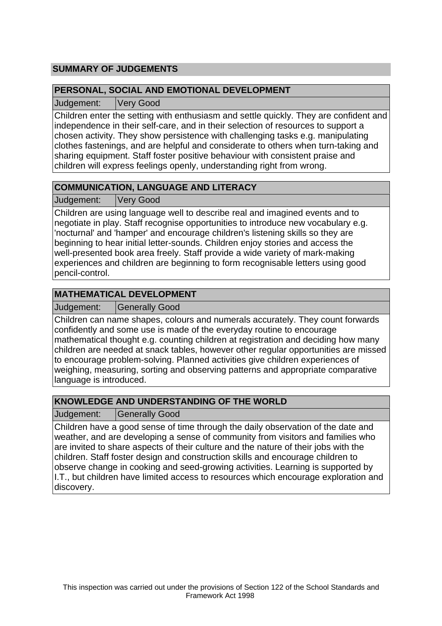# **SUMMARY OF JUDGEMENTS**

## **PERSONAL, SOCIAL AND EMOTIONAL DEVELOPMENT**

Judgement: Very Good

Children enter the setting with enthusiasm and settle quickly. They are confident and independence in their self-care, and in their selection of resources to support a chosen activity. They show persistence with challenging tasks e.g. manipulating clothes fastenings, and are helpful and considerate to others when turn-taking and sharing equipment. Staff foster positive behaviour with consistent praise and children will express feelings openly, understanding right from wrong.

# **COMMUNICATION, LANGUAGE AND LITERACY**

Judgement: Very Good

Children are using language well to describe real and imagined events and to negotiate in play. Staff recognise opportunities to introduce new vocabulary e.g. 'nocturnal' and 'hamper' and encourage children's listening skills so they are beginning to hear initial letter-sounds. Children enjoy stories and access the well-presented book area freely. Staff provide a wide variety of mark-making experiences and children are beginning to form recognisable letters using good pencil-control.

## **MATHEMATICAL DEVELOPMENT**

Judgement: Generally Good

Children can name shapes, colours and numerals accurately. They count forwards confidently and some use is made of the everyday routine to encourage mathematical thought e.g. counting children at registration and deciding how many children are needed at snack tables, however other regular opportunities are missed to encourage problem-solving. Planned activities give children experiences of weighing, measuring, sorting and observing patterns and appropriate comparative language is introduced.

# **KNOWLEDGE AND UNDERSTANDING OF THE WORLD**

Judgement: | Generally Good

Children have a good sense of time through the daily observation of the date and weather, and are developing a sense of community from visitors and families who are invited to share aspects of their culture and the nature of their jobs with the children. Staff foster design and construction skills and encourage children to observe change in cooking and seed-growing activities. Learning is supported by I.T., but children have limited access to resources which encourage exploration and discovery.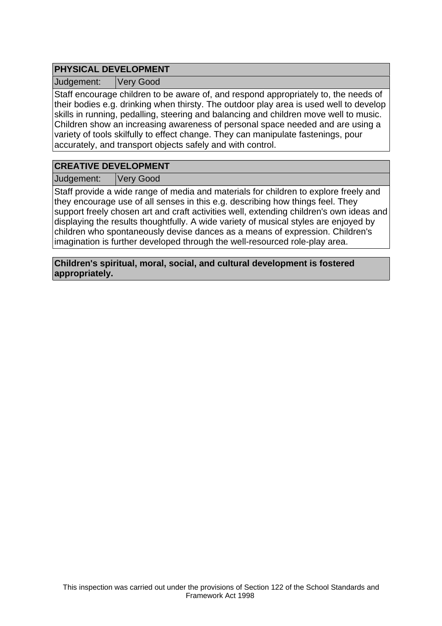# **PHYSICAL DEVELOPMENT**

Judgement: Very Good

Staff encourage children to be aware of, and respond appropriately to, the needs of their bodies e.g. drinking when thirsty. The outdoor play area is used well to develop skills in running, pedalling, steering and balancing and children move well to music. Children show an increasing awareness of personal space needed and are using a variety of tools skilfully to effect change. They can manipulate fastenings, pour accurately, and transport objects safely and with control.

# **CREATIVE DEVELOPMENT**

Judgement: Very Good

Staff provide a wide range of media and materials for children to explore freely and they encourage use of all senses in this e.g. describing how things feel. They support freely chosen art and craft activities well, extending children's own ideas and displaying the results thoughtfully. A wide variety of musical styles are enjoyed by children who spontaneously devise dances as a means of expression. Children's imagination is further developed through the well-resourced role-play area.

**Children's spiritual, moral, social, and cultural development is fostered appropriately.**